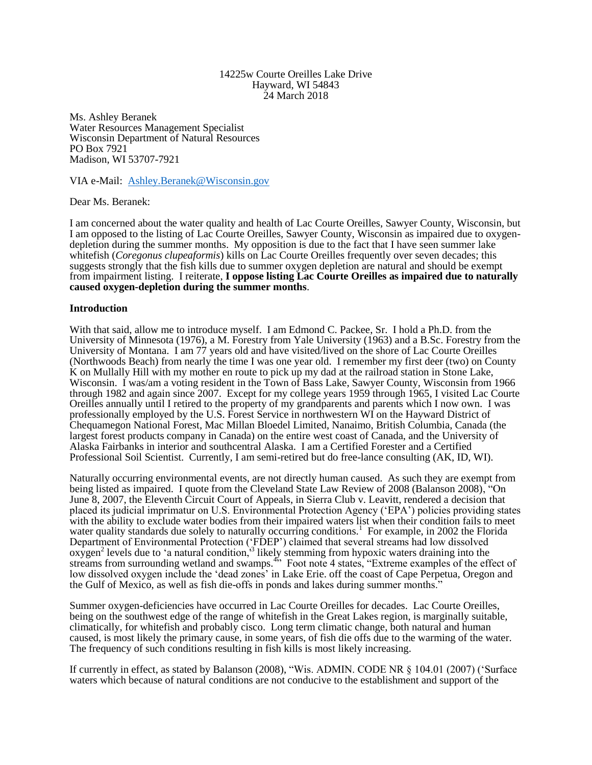#### 14225w Courte Oreilles Lake Drive Hayward, WI 54843 24 March 2018

Ms. Ashley Beranek Water Resources Management Specialist Wisconsin Department of Natural Resources PO Box 7921 Madison, WI 53707-7921

VIA e-Mail: [Ashley.Beranek@Wisconsin.gov](mailto:Ashley.Beranek@Wisconsin.gov)

Dear Ms. Beranek:

I am concerned about the water quality and health of Lac Courte Oreilles, Sawyer County, Wisconsin, but I am opposed to the listing of Lac Courte Oreilles, Sawyer County, Wisconsin as impaired due to oxygendepletion during the summer months. My opposition is due to the fact that I have seen summer lake whitefish (*Coregonus clupeaformis*) kills on Lac Courte Oreilles frequently over seven decades; this suggests strongly that the fish kills due to summer oxygen depletion are natural and should be exempt from impairment listing. I reiterate, **I oppose listing Lac Courte Oreilles as impaired due to naturally caused oxygen-depletion during the summer months**.

## **Introduction**

With that said, allow me to introduce myself. I am Edmond C. Packee, Sr. I hold a Ph.D. from the University of Minnesota (1976), a M. Forestry from Yale University (1963) and a B.Sc. Forestry from the University of Montana. I am 77 years old and have visited/lived on the shore of Lac Courte Oreilles (Northwoods Beach) from nearly the time I was one year old. I remember my first deer (two) on County K on Mullally Hill with my mother en route to pick up my dad at the railroad station in Stone Lake, Wisconsin. I was/am a voting resident in the Town of Bass Lake, Sawyer County, Wisconsin from 1966 through 1982 and again since 2007. Except for my college years 1959 through 1965, I visited Lac Courte Oreilles annually until I retired to the property of my grandparents and parents which I now own. I was professionally employed by the U.S. Forest Service in northwestern WI on the Hayward District of Chequamegon National Forest, Mac Millan Bloedel Limited, Nanaimo, British Columbia, Canada (the largest forest products company in Canada) on the entire west coast of Canada, and the University of Alaska Fairbanks in interior and southcentral Alaska. I am a Certified Forester and a Certified Professional Soil Scientist. Currently, I am semi-retired but do free-lance consulting (AK, ID, WI).

Naturally occurring environmental events, are not directly human caused. As such they are exempt from being listed as impaired. I quote from the Cleveland State Law Review of 2008 (Balanson 2008), "On June 8, 2007, the Eleventh Circuit Court of Appeals, in Sierra Club v. Leavitt, rendered a decision that placed its judicial imprimatur on U.S. Environmental Protection Agency ('EPA') policies providing states with the ability to exclude water bodies from their impaired waters list when their condition fails to meet water quality standards due solely to naturally occurring conditions.<sup>1</sup> For example, in 2002 the Florida Department of Environmental Protection ('FDEP') claimed that several streams had low dissolved  $\alpha$ ygen<sup>2</sup> levels due to 'a natural condition,  $\beta$  likely stemming from hypoxic waters draining into the streams from surrounding wetland and swamps.<sup>45</sup> Foot note 4 states, "Extreme examples of the effect of low dissolved oxygen include the 'dead zones' in Lake Erie. off the coast of Cape Perpetua, Oregon and the Gulf of Mexico, as well as fish die-offs in ponds and lakes during summer months."

Summer oxygen-deficiencies have occurred in Lac Courte Oreilles for decades. Lac Courte Oreilles, being on the southwest edge of the range of whitefish in the Great Lakes region, is marginally suitable, climatically, for whitefish and probably cisco. Long term climatic change, both natural and human caused, is most likely the primary cause, in some years, of fish die offs due to the warming of the water. The frequency of such conditions resulting in fish kills is most likely increasing.

If currently in effect, as stated by Balanson (2008), "Wis. ADMIN. CODE NR § 104.01 (2007) ('Surface waters which because of natural conditions are not conducive to the establishment and support of the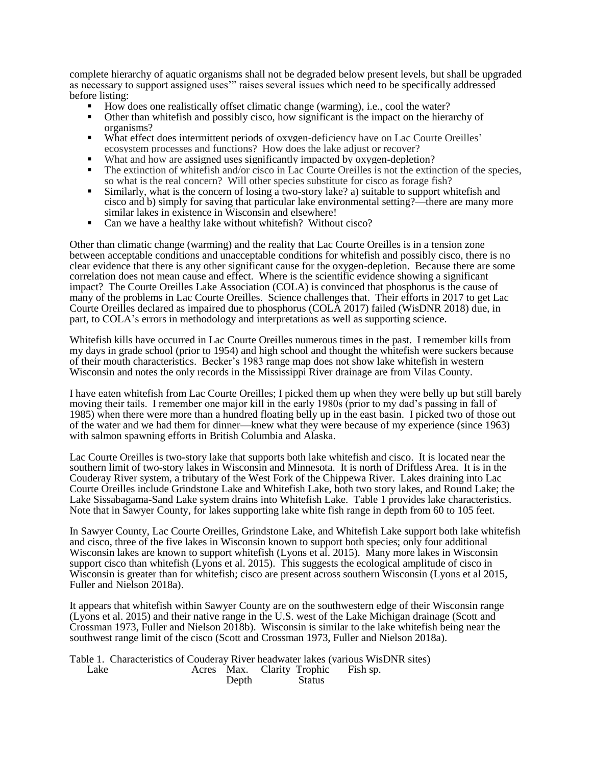complete hierarchy of aquatic organisms shall not be degraded below present levels, but shall be upgraded as necessary to support assigned uses'" raises several issues which need to be specifically addressed before listing:

- How does one realistically offset climatic change (warming), i.e., cool the water?
- Other than whitefish and possibly cisco, how significant is the impact on the hierarchy of organisms?
- What effect does intermittent periods of oxygen-deficiency have on Lac Courte Oreilles' ecosystem processes and functions? How does the lake adjust or recover?
- What and how are assigned uses significantly impacted by oxygen-depletion?
- The extinction of whitefish and/or cisco in Lac Courte Oreilles is not the extinction of the species, so what is the real concern? Will other species substitute for cisco as forage fish?
- Similarly, what is the concern of losing a two-story lake? a) suitable to support whitefish and cisco and b) simply for saving that particular lake environmental setting?—there are many more similar lakes in existence in Wisconsin and elsewhere!
- Can we have a healthy lake without whitefish? Without cisco?

Other than climatic change (warming) and the reality that Lac Courte Oreilles is in a tension zone between acceptable conditions and unacceptable conditions for whitefish and possibly cisco, there is no clear evidence that there is any other significant cause for the oxygen-depletion. Because there are some correlation does not mean cause and effect. Where is the scientific evidence showing a significant impact? The Courte Oreilles Lake Association (COLA) is convinced that phosphorus is the cause of many of the problems in Lac Courte Oreilles. Science challenges that. Their efforts in 2017 to get Lac Courte Oreilles declared as impaired due to phosphorus (COLA 2017) failed (WisDNR 2018) due, in part, to COLA's errors in methodology and interpretations as well as supporting science.

Whitefish kills have occurred in Lac Courte Oreilles numerous times in the past. I remember kills from my days in grade school (prior to 1954) and high school and thought the whitefish were suckers because of their mouth characteristics. Becker's 1983 range map does not show lake whitefish in western Wisconsin and notes the only records in the Mississippi River drainage are from Vilas County.

I have eaten whitefish from Lac Courte Oreilles; I picked them up when they were belly up but still barely moving their tails. I remember one major kill in the early 1980s (prior to my dad's passing in fall of 1985) when there were more than a hundred floating belly up in the east basin. I picked two of those out of the water and we had them for dinner—knew what they were because of my experience (since 1963) with salmon spawning efforts in British Columbia and Alaska.

Lac Courte Oreilles is two-story lake that supports both lake whitefish and cisco. It is located near the southern limit of two-story lakes in Wisconsin and Minnesota. It is north of Driftless Area. It is in the Couderay River system, a tributary of the West Fork of the Chippewa River. Lakes draining into Lac Courte Oreilles include Grindstone Lake and Whitefish Lake, both two story lakes, and Round Lake; the Lake Sissabagama-Sand Lake system drains into Whitefish Lake. Table 1 provides lake characteristics. Note that in Sawyer County, for lakes supporting lake white fish range in depth from 60 to 105 feet.

In Sawyer County, Lac Courte Oreilles, Grindstone Lake, and Whitefish Lake support both lake whitefish and cisco, three of the five lakes in Wisconsin known to support both species; only four additional Wisconsin lakes are known to support whitefish (Lyons et al. 2015). Many more lakes in Wisconsin support cisco than whitefish (Lyons et al. 2015). This suggests the ecological amplitude of cisco in Wisconsin is greater than for whitefish; cisco are present across southern Wisconsin (Lyons et al 2015, Fuller and Nielson 2018a).

It appears that whitefish within Sawyer County are on the southwestern edge of their Wisconsin range (Lyons et al. 2015) and their native range in the U.S. west of the Lake Michigan drainage (Scott and Crossman 1973, Fuller and Nielson 2018b). Wisconsin is similar to the lake whitefish being near the southwest range limit of the cisco (Scott and Crossman 1973, Fuller and Nielson 2018a).

Table 1. Characteristics of Couderay River headwater lakes (various WisDNR sites) Lake Acres Max. Clarity Trophic Fish sp. Depth Status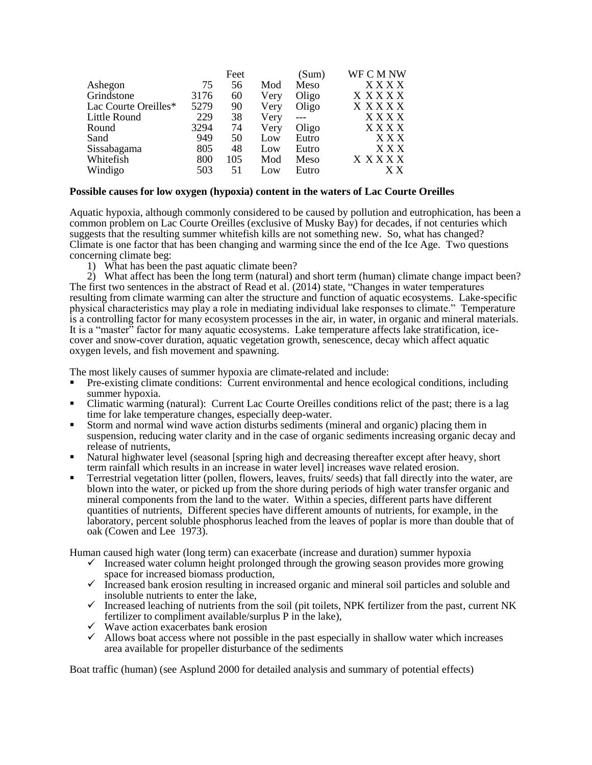|      | Feet |      | (Sum) | WF C M NW    |
|------|------|------|-------|--------------|
| 75   | 56   | Mod  | Meso  | <b>XXXX</b>  |
| 3176 | 60   | Very | Oligo | <b>XXXXX</b> |
| 5279 | 90   | Very | Oligo | X X X X X    |
| 229  | 38   | Very |       | XXXX         |
| 3294 | 74   | Very | Oligo | XXXX         |
| 949  | 50   | Low  | Eutro | XXX          |
| 805  | 48   | Low  | Eutro | X X X        |
| 800  | 105  | Mod  | Meso  | X X X X X    |
| 503  | 51   | Low  | Eutro | X X          |
|      |      |      |       |              |

## **Possible causes for low oxygen (hypoxia) content in the waters of Lac Courte Oreilles**

Aquatic hypoxia, although commonly considered to be caused by pollution and eutrophication, has been a common problem on Lac Courte Oreilles (exclusive of Musky Bay) for decades, if not centuries which suggests that the resulting summer whitefish kills are not something new. So, what has changed? Climate is one factor that has been changing and warming since the end of the Ice Age. Two questions concerning climate beg:

1) What has been the past aquatic climate been?

2) What affect has been the long term (natural) and short term (human) climate change impact been? The first two sentences in the abstract of Read et al. (2014) state, "Changes in water temperatures resulting from climate warming can alter the structure and function of aquatic ecosystems. Lake-specific physical characteristics may play a role in mediating individual lake responses to climate." Temperature is a controlling factor for many ecosystem processes in the air, in water, in organic and mineral materials. It is a "master" factor for many aquatic ecosystems. Lake temperature affects lake stratification, icecover and snow-cover duration, aquatic vegetation growth, senescence, decay which affect aquatic oxygen levels, and fish movement and spawning.

The most likely causes of summer hypoxia are climate-related and include:

- Pre-existing climate conditions: Current environmental and hence ecological conditions, including summer hypoxia.
- Climatic warming (natural): Current Lac Courte Oreilles conditions relict of the past; there is a lag time for lake temperature changes, especially deep-water.
- Storm and normal wind wave action disturbs sediments (mineral and organic) placing them in suspension, reducing water clarity and in the case of organic sediments increasing organic decay and release of nutrients,
- Natural highwater level (seasonal [spring high and decreasing thereafter except after heavy, short term rainfall which results in an increase in water level] increases wave related erosion.
- Terrestrial vegetation litter (pollen, flowers, leaves, fruits/ seeds) that fall directly into the water, are blown into the water, or picked up from the shore during periods of high water transfer organic and mineral components from the land to the water. Within a species, different parts have different quantities of nutrients, Different species have different amounts of nutrients, for example, in the laboratory, percent soluble phosphorus leached from the leaves of poplar is more than double that of oak (Cowen and Lee 1973).

Human caused high water (long term) can exacerbate (increase and duration) summer hypoxia

- $\checkmark$  Increased water column height prolonged through the growing season provides more growing space for increased biomass production,
- $\checkmark$  Increased bank erosion resulting in increased organic and mineral soil particles and soluble and insoluble nutrients to enter the lake,
- $\checkmark$  Increased leaching of nutrients from the soil (pit toilets, NPK fertilizer from the past, current NK fertilizer to compliment available/surplus P in the lake),
- $\checkmark$  Wave action exacerbates bank erosion
- $\checkmark$  Allows boat access where not possible in the past especially in shallow water which increases area available for propeller disturbance of the sediments

Boat traffic (human) (see Asplund 2000 for detailed analysis and summary of potential effects)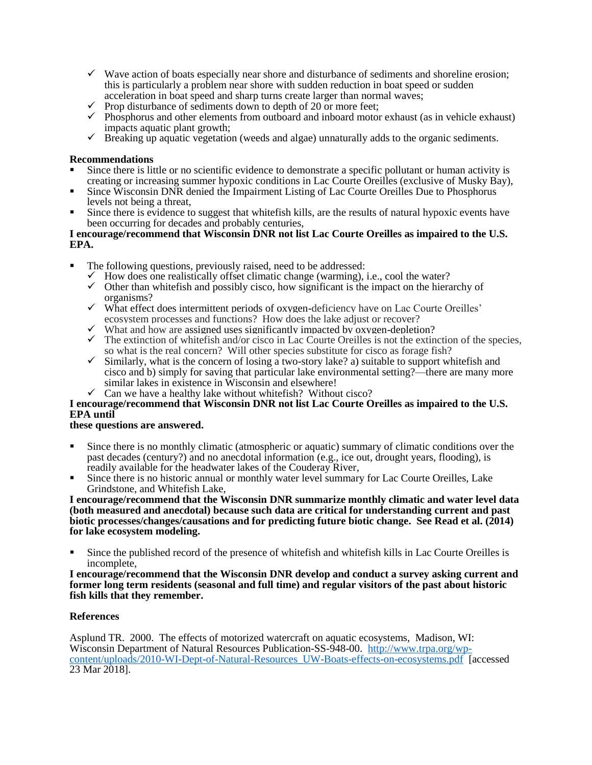- $\checkmark$  Wave action of boats especially near shore and disturbance of sediments and shoreline erosion; this is particularly a problem near shore with sudden reduction in boat speed or sudden acceleration in boat speed and sharp turns create larger than normal waves;
- $\checkmark$  Prop disturbance of sediments down to depth of 20 or more feet;
- $\checkmark$  Phosphorus and other elements from outboard and inboard motor exhaust (as in vehicle exhaust) impacts aquatic plant growth;
- $\checkmark$  Breaking up aquatic vegetation (weeds and algae) unnaturally adds to the organic sediments.

### **Recommendations**

- Since there is little or no scientific evidence to demonstrate a specific pollutant or human activity is creating or increasing summer hypoxic conditions in Lac Courte Oreilles (exclusive of Musky Bay),
- Since Wisconsin DNR denied the Impairment Listing of Lac Courte Oreilles Due to Phosphorus levels not being a threat,
- Since there is evidence to suggest that whitefish kills, are the results of natural hypoxic events have been occurring for decades and probably centuries,

#### **I encourage/recommend that Wisconsin DNR not list Lac Courte Oreilles as impaired to the U.S. EPA.**

- The following questions, previously raised, need to be addressed:
	- $\checkmark$  How does one realistically offset climatic change (warming), i.e., cool the water?
	- $\checkmark$  Other than whitefish and possibly cisco, how significant is the impact on the hierarchy of organisms?
	- $\checkmark$  What effect does intermittent periods of oxygen-deficiency have on Lac Courte Oreilles' ecosystem processes and functions? How does the lake adjust or recover?
	- $\checkmark$  What and how are assigned uses significantly impacted by oxygen-depletion?
	- $\checkmark$  The extinction of whitefish and/or cisco in Lac Courte Oreilles is not the extinction of the species, so what is the real concern? Will other species substitute for cisco as forage fish?
	- $\checkmark$  Similarly, what is the concern of losing a two-story lake? a) suitable to support whitefish and cisco and b) simply for saving that particular lake environmental setting?—there are many more similar lakes in existence in Wisconsin and elsewhere!
	- Can we have a healthy lake without whitefish? Without cisco?

# **I encourage/recommend that Wisconsin DNR not list Lac Courte Oreilles as impaired to the U.S. EPA until**

#### **these questions are answered.**

- Since there is no monthly climatic (atmospheric or aquatic) summary of climatic conditions over the past decades (century?) and no anecdotal information (e.g., ice out, drought years, flooding), is readily available for the headwater lakes of the Couderay River,
- Since there is no historic annual or monthly water level summary for Lac Courte Oreilles, Lake Grindstone, and Whitefish Lake,

**I encourage/recommend that the Wisconsin DNR summarize monthly climatic and water level data (both measured and anecdotal) because such data are critical for understanding current and past biotic processes/changes/causations and for predicting future biotic change. See Read et al. (2014) for lake ecosystem modeling.**

 Since the published record of the presence of whitefish and whitefish kills in Lac Courte Oreilles is incomplete,

**I encourage/recommend that the Wisconsin DNR develop and conduct a survey asking current and former long term residents (seasonal and full time) and regular visitors of the past about historic fish kills that they remember.**

# **References**

Asplund TR. 2000. The effects of motorized watercraft on aquatic ecosystems, Madison, WI: Wisconsin Department of Natural Resources Publication-SS-948-00. [http://www.trpa.org/wp](http://www.trpa.org/wp-content/uploads/2010-WI-Dept-of-Natural-Resources_UW-Boats-effects-on-ecosystems.pdf)[content/uploads/2010-WI-Dept-of-Natural-Resources\\_UW-Boats-effects-on-ecosystems.pdf](http://www.trpa.org/wp-content/uploads/2010-WI-Dept-of-Natural-Resources_UW-Boats-effects-on-ecosystems.pdf) [accessed 23 Mar 2018].